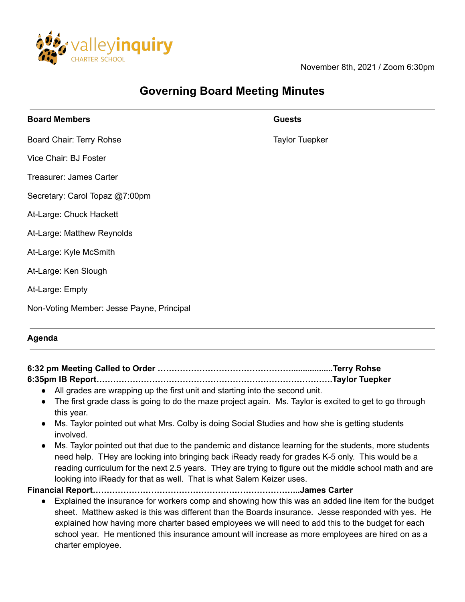

November 8th, 2021 / Zoom 6:30pm

# **Governing Board Meeting Minutes**

| <b>Board Members</b>                      | <b>Guests</b>         |
|-------------------------------------------|-----------------------|
| Board Chair: Terry Rohse                  | <b>Taylor Tuepker</b> |
| Vice Chair: BJ Foster                     |                       |
| Treasurer: James Carter                   |                       |
| Secretary: Carol Topaz @7:00pm            |                       |
| At-Large: Chuck Hackett                   |                       |
| At-Large: Matthew Reynolds                |                       |
| At-Large: Kyle McSmith                    |                       |
| At-Large: Ken Slough                      |                       |
| At-Large: Empty                           |                       |
| Non-Voting Member: Jesse Payne, Principal |                       |
|                                           |                       |

#### **Agenda**

| 6:35pm IB Report…………………………………………………………………………Taylor Tuepker                                                              |  |
|-------------------------------------------------------------------------------------------------------------------------|--|
| • All grades are wrapping up the first unit and starting into the second unit.                                          |  |
| • The first grade class is going to do the maze project again. Ms. Taylor is excited to get to go through<br>this year. |  |
| • Ms. Taylor pointed out what Mrs. Colby is doing Social Studies and how she is getting students<br>involved.           |  |
| Ms. Taylor pointed out that due to the pandemic and distance learning for the students, more students<br>$\bullet$      |  |

need help. THey are looking into bringing back iReady ready for grades K-5 only. This would be a reading curriculum for the next 2.5 years. THey are trying to figure out the middle school math and are looking into iReady for that as well. That is what Salem Keizer uses.

**Financial Report………………………………………………………………...James Carter**

● Explained the insurance for workers comp and showing how this was an added line item for the budget sheet. Matthew asked is this was different than the Boards insurance. Jesse responded with yes. He explained how having more charter based employees we will need to add this to the budget for each school year. He mentioned this insurance amount will increase as more employees are hired on as a charter employee.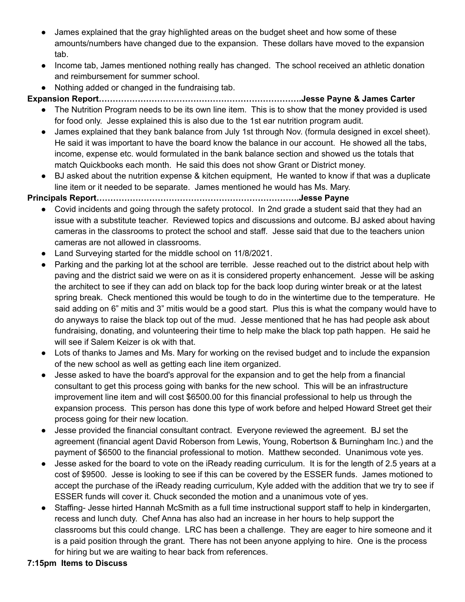- James explained that the gray highlighted areas on the budget sheet and how some of these amounts/numbers have changed due to the expansion. These dollars have moved to the expansion tab.
- Income tab, James mentioned nothing really has changed. The school received an athletic donation and reimbursement for summer school.
- Nothing added or changed in the fundraising tab.

**Expansion Report……………………………………………………………….Jesse Payne & James Carter**

- The Nutrition Program needs to be its own line item. This is to show that the money provided is used for food only. Jesse explained this is also due to the 1st ear nutrition program audit.
- James explained that they bank balance from July 1st through Nov. (formula designed in excel sheet). He said it was important to have the board know the balance in our account. He showed all the tabs, income, expense etc. would formulated in the bank balance section and showed us the totals that match Quickbooks each month. He said this does not show Grant or District money.
- BJ asked about the nutrition expense & kitchen equipment, He wanted to know if that was a duplicate line item or it needed to be separate. James mentioned he would has Ms. Mary.

## **Principals Report……………………………………………………………….Jesse Payne**

- Covid incidents and going through the safety protocol. In 2nd grade a student said that they had an issue with a substitute teacher. Reviewed topics and discussions and outcome. BJ asked about having cameras in the classrooms to protect the school and staff. Jesse said that due to the teachers union cameras are not allowed in classrooms.
- Land Surveying started for the middle school on 11/8/2021.
- Parking and the parking lot at the school are terrible. Jesse reached out to the district about help with paving and the district said we were on as it is considered property enhancement. Jesse will be asking the architect to see if they can add on black top for the back loop during winter break or at the latest spring break. Check mentioned this would be tough to do in the wintertime due to the temperature. He said adding on 6" mitis and 3" mitis would be a good start. Plus this is what the company would have to do anyways to raise the black top out of the mud. Jesse mentioned that he has had people ask about fundraising, donating, and volunteering their time to help make the black top path happen. He said he will see if Salem Keizer is ok with that.
- Lots of thanks to James and Ms. Mary for working on the revised budget and to include the expansion of the new school as well as getting each line item organized.
- Jesse asked to have the board's approval for the expansion and to get the help from a financial consultant to get this process going with banks for the new school. This will be an infrastructure improvement line item and will cost \$6500.00 for this financial professional to help us through the expansion process. This person has done this type of work before and helped Howard Street get their process going for their new location.
- Jesse provided the financial consultant contract. Everyone reviewed the agreement. BJ set the agreement (financial agent David Roberson from Lewis, Young, Robertson & Burningham Inc.) and the payment of \$6500 to the financial professional to motion. Matthew seconded. Unanimous vote yes.
- Jesse asked for the board to vote on the iReady reading curriculum. It is for the length of 2.5 years at a cost of \$9500. Jesse is looking to see if this can be covered by the ESSER funds. James motioned to accept the purchase of the iReady reading curriculum, Kyle added with the addition that we try to see if ESSER funds will cover it. Chuck seconded the motion and a unanimous vote of yes.
- Staffing- Jesse hirted Hannah McSmith as a full time instructional support staff to help in kindergarten, recess and lunch duty. Chef Anna has also had an increase in her hours to help support the classrooms but this could change. LRC has been a challenge. They are eager to hire someone and it is a paid position through the grant. There has not been anyone applying to hire. One is the process for hiring but we are waiting to hear back from references.

## **7:15pm Items to Discuss**